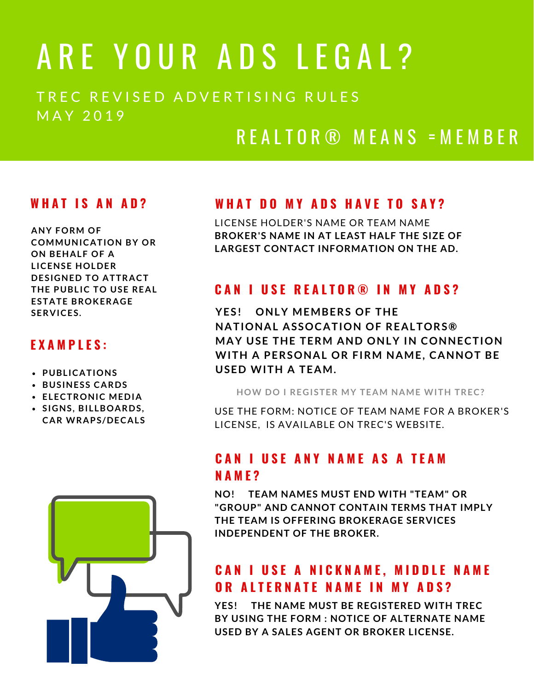# ARE YOUR ADS LEGAL?

TREC REVISED ADVERTISING RULES M A Y 2 0 1 9

### R E A L T O R ® M E A N S = M E M B E R

#### **W H A T I S A N A D ?**

**ANY FORM OF COMMUNICATION BY OR ON BEHALF OF A LICENSE HOLDER DESIGNED TO ATTRACT THE PUBLIC TO USE REAL ESTATE BROKERAGE SERVICES.**

#### **E X A M P L E S :**

- **PUBLICATIONS**
- **BUSINESS CARDS**
- **ELECTRONIC MEDIA**
- **SIGNS, BILLBOARDS, CAR WRAPS/DECALS**



#### **W H A T D O M Y A D S H A V E T O S A Y ?**

LICENSE HOLDER'S NAME OR TEAM NAME **BROKER'S NAME IN AT LEAST HALF THE SIZE OF LARGEST CONTACT INFORMATION ON THE AD.**

#### **C A N I U S E R E A L T O R ® I N M Y A D S ?**

**YES! ONLY MEMBERS OF THE NATIONAL ASSOCATION OF REALTORS® MAY USE THE TERM AND ONLY IN CONNECTION WITH A PERSONAL OR FIRM NAME, CANNOT BE USED WITH A TEAM.**

**HOW DO I REGISTER MY TEAM NAME WITH TREC?**

USE THE FORM: NOTICE OF TEAM NAME FOR A BROKER'S LICENSE, IS AVAILABLE ON TREC'S WEBSITE.

#### **C A N I U S E A N Y N A M E A S A T E A M N A M E ?**

**NO! TEAM NAMES MUST END WITH "TEAM" OR "GROUP" AND CANNOT CONTAIN TERMS THAT IMPLY THE TEAM IS OFFERING BROKERAGE SERVICES INDEPENDENT OF THE BROKER.**

#### **CAN I USE A NICKNAME, MIDDLE NAME O R A L T E R N A T E N A M E I N M Y A D S ?**

**YES! THE NAME MUST BE REGISTERED WITH TREC BY USING THE FORM : NOTICE OF ALTERNATE NAME USED BY A SALES AGENT OR BROKER LICENSE.**